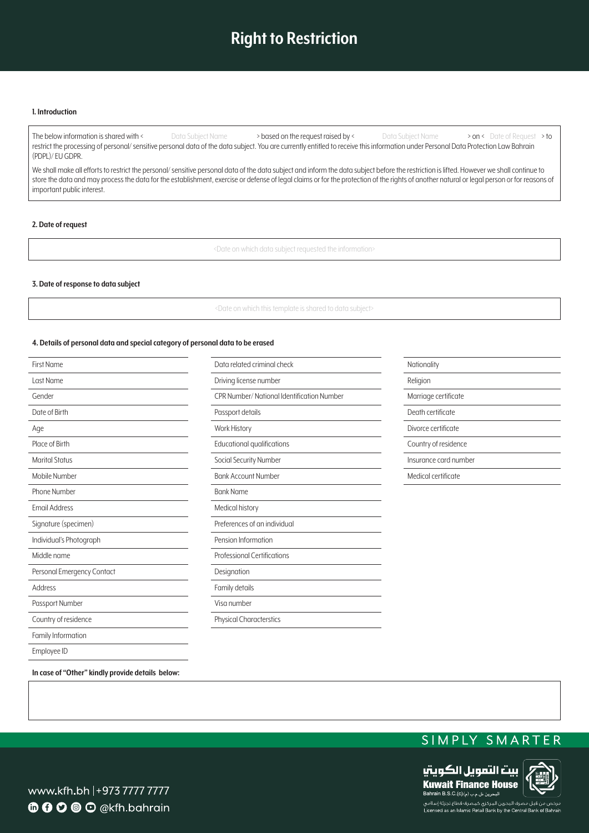## **Right to Restriction**

#### **Introduction 1.**

The below information is shared with < Data Subject Name > based on the request raised by < What Subject Name > on < Date of Request > to restrict the processing of personal/sensitive personal data of the data subject. You are currently entitled to receive this information under Personal Data Protection Law Bahrain (PDPL)/EU GDPR.

We shall make all efforts to restrict the personal/ sensitive personal data of the data subject and inform the data subject before the restriction is lifted. However we shall continue to store the data and may process the data for the establishment, exercise or defense of legal claims or for the protection of the rights of another natural or legal person or for reasons of important public interest.

#### **2.** Date of request

<Date on which data subject requested the information>

#### **3. Date of response to data subject**

<Date on which this template is shared to data subject>

#### 4. Details of personal data and special category of personal data to be erased

| <b>First Name</b>          | Data related criminal check                | Nationality           |
|----------------------------|--------------------------------------------|-----------------------|
| Last Name                  | Driving license number                     | Religion              |
| Gender                     | CPR Number/ National Identification Number | Marriage certificate  |
| Date of Birth              | Passport details                           | Death certificate     |
| Age                        | <b>Work History</b>                        | Divorce certificate   |
| Place of Birth             | Educational qualifications                 | Country of residence  |
| <b>Marital Status</b>      | Social Security Number                     | Insurance card number |
| Mobile Number              | <b>Bank Account Number</b>                 | Medical certificate   |
| Phone Number               | <b>Bank Name</b>                           |                       |
| <b>Email Address</b>       | Medical history                            |                       |
| Signature (specimen)       | Preferences of an individual               |                       |
| Individual's Photograph    | Pension Information                        |                       |
| Middle name                | <b>Professional Certifications</b>         |                       |
| Personal Emergency Contact | Designation                                |                       |
| Address                    | Family details                             |                       |
| Passport Number            | Visa number                                |                       |
| Country of residence       | <b>Physical Characterstics</b>             |                       |
| Family Information         |                                            |                       |
| Employee ID                |                                            |                       |

In case of "Other" kindly provide details below:

### SIMPLY SMARTER



www.kfh.bh |+973 7777 7777 **6000** O @kfh.bahrain